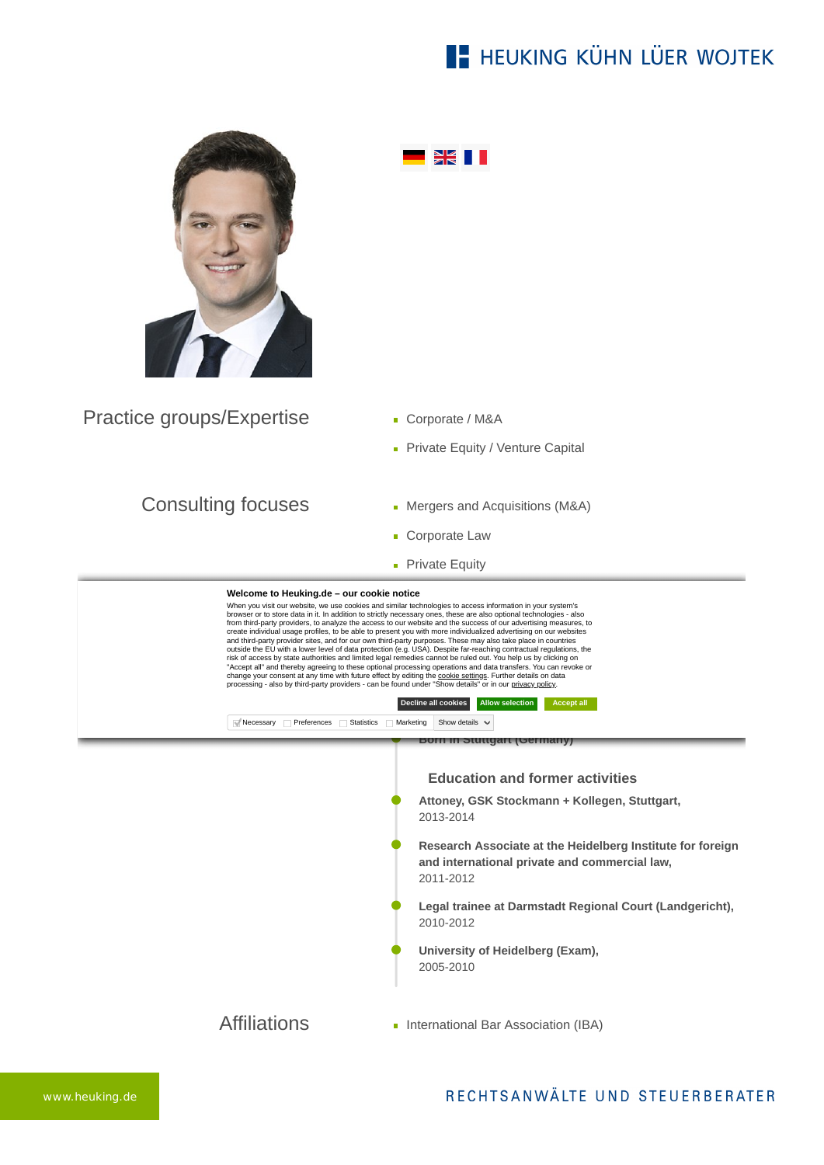## **E- HEUKING KÜHN LÜER WOJTEK**